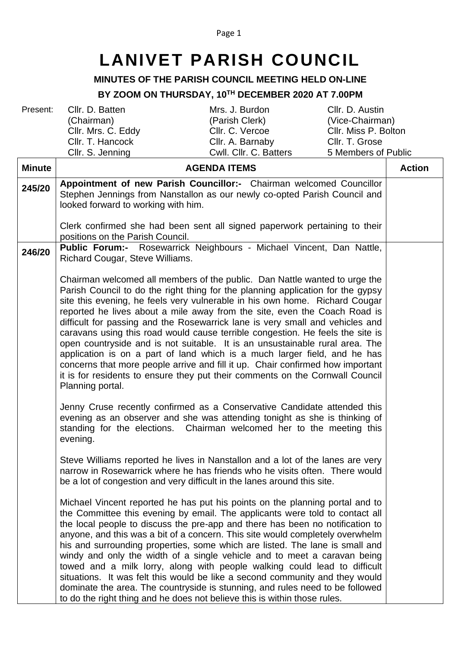## Page 1

## **LANIVET PARISH COUNCIL**

## **MINUTES OF THE PARISH COUNCIL MEETING HELD ON-LINE**

## **BY ZOOM ON THURSDAY, 10 TH DECEMBER 2020 AT 7.00PM**

Present: Cllr. D. Batten (Chairman)<br>Cllr. Mrs. C. Eddy Cllr. T. Hancock

Cllr. S. Jenning

Mrs. J. Burdon (Parish Clerk) Cllr. A. Barnaby Cllr. D. Austin (Vice-Chairman) Cllr. Miss P. Bolton Cllr. T. Grose 5 Members of Public

|               | Cllr. S. Jenning                    | Cwll. Cllr. C. Batters                                                                                                                                                                                                                                                                                                                                                                                                                                                                                                                                                                                                                                                                                                                                                                                                       | 5 Members of Public |               |
|---------------|-------------------------------------|------------------------------------------------------------------------------------------------------------------------------------------------------------------------------------------------------------------------------------------------------------------------------------------------------------------------------------------------------------------------------------------------------------------------------------------------------------------------------------------------------------------------------------------------------------------------------------------------------------------------------------------------------------------------------------------------------------------------------------------------------------------------------------------------------------------------------|---------------------|---------------|
| <b>Minute</b> |                                     | <b>AGENDA ITEMS</b>                                                                                                                                                                                                                                                                                                                                                                                                                                                                                                                                                                                                                                                                                                                                                                                                          |                     | <b>Action</b> |
| 245/20        | looked forward to working with him. | Appointment of new Parish Councillor:- Chairman welcomed Councillor<br>Stephen Jennings from Nanstallon as our newly co-opted Parish Council and                                                                                                                                                                                                                                                                                                                                                                                                                                                                                                                                                                                                                                                                             |                     |               |
|               | positions on the Parish Council.    | Clerk confirmed she had been sent all signed paperwork pertaining to their                                                                                                                                                                                                                                                                                                                                                                                                                                                                                                                                                                                                                                                                                                                                                   |                     |               |
| 246/20        | Richard Cougar, Steve Williams.     | Public Forum:- Rosewarrick Neighbours - Michael Vincent, Dan Nattle,                                                                                                                                                                                                                                                                                                                                                                                                                                                                                                                                                                                                                                                                                                                                                         |                     |               |
|               | Planning portal.                    | Chairman welcomed all members of the public. Dan Nattle wanted to urge the<br>Parish Council to do the right thing for the planning application for the gypsy<br>site this evening, he feels very vulnerable in his own home. Richard Cougar<br>reported he lives about a mile away from the site, even the Coach Road is<br>difficult for passing and the Rosewarrick lane is very small and vehicles and<br>caravans using this road would cause terrible congestion. He feels the site is<br>open countryside and is not suitable. It is an unsustainable rural area. The<br>application is on a part of land which is a much larger field, and he has<br>concerns that more people arrive and fill it up. Chair confirmed how important<br>it is for residents to ensure they put their comments on the Cornwall Council |                     |               |
|               | evening.                            | Jenny Cruse recently confirmed as a Conservative Candidate attended this<br>evening as an observer and she was attending tonight as she is thinking of<br>standing for the elections. Chairman welcomed her to the meeting this                                                                                                                                                                                                                                                                                                                                                                                                                                                                                                                                                                                              |                     |               |
|               |                                     | Steve Williams reported he lives in Nanstallon and a lot of the lanes are very<br>narrow in Rosewarrick where he has friends who he visits often. There would<br>be a lot of congestion and very difficult in the lanes around this site.                                                                                                                                                                                                                                                                                                                                                                                                                                                                                                                                                                                    |                     |               |
|               |                                     | Michael Vincent reported he has put his points on the planning portal and to<br>the Committee this evening by email. The applicants were told to contact all<br>the local people to discuss the pre-app and there has been no notification to<br>anyone, and this was a bit of a concern. This site would completely overwhelm<br>his and surrounding properties, some which are listed. The lane is small and<br>windy and only the width of a single vehicle and to meet a caravan being<br>towed and a milk lorry, along with people walking could lead to difficult<br>situations. It was felt this would be like a second community and they would<br>dominate the area. The countryside is stunning, and rules need to be followed<br>to do the right thing and he does not believe this is within those rules.        |                     |               |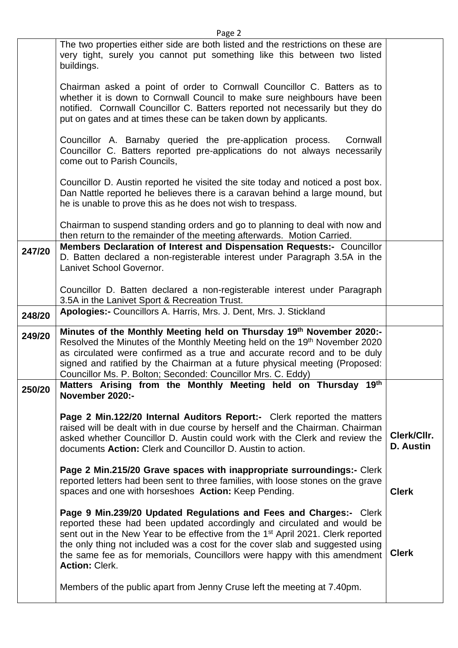|        | Page 2                                                                                                                                                                                                                                                                                                                                                                                                                               |                          |
|--------|--------------------------------------------------------------------------------------------------------------------------------------------------------------------------------------------------------------------------------------------------------------------------------------------------------------------------------------------------------------------------------------------------------------------------------------|--------------------------|
|        | The two properties either side are both listed and the restrictions on these are<br>very tight, surely you cannot put something like this between two listed<br>buildings.                                                                                                                                                                                                                                                           |                          |
|        | Chairman asked a point of order to Cornwall Councillor C. Batters as to<br>whether it is down to Cornwall Council to make sure neighbours have been<br>notified. Cornwall Councillor C. Batters reported not necessarily but they do<br>put on gates and at times these can be taken down by applicants.                                                                                                                             |                          |
|        | Councillor A. Barnaby queried the pre-application process.<br>Cornwall<br>Councillor C. Batters reported pre-applications do not always necessarily<br>come out to Parish Councils,                                                                                                                                                                                                                                                  |                          |
|        | Councillor D. Austin reported he visited the site today and noticed a post box.<br>Dan Nattle reported he believes there is a caravan behind a large mound, but<br>he is unable to prove this as he does not wish to trespass.                                                                                                                                                                                                       |                          |
|        | Chairman to suspend standing orders and go to planning to deal with now and<br>then return to the remainder of the meeting afterwards. Motion Carried.                                                                                                                                                                                                                                                                               |                          |
| 247/20 | Members Declaration of Interest and Dispensation Requests:- Councillor<br>D. Batten declared a non-registerable interest under Paragraph 3.5A in the<br>Lanivet School Governor.                                                                                                                                                                                                                                                     |                          |
|        | Councillor D. Batten declared a non-registerable interest under Paragraph<br>3.5A in the Lanivet Sport & Recreation Trust.                                                                                                                                                                                                                                                                                                           |                          |
| 248/20 | Apologies:- Councillors A. Harris, Mrs. J. Dent, Mrs. J. Stickland                                                                                                                                                                                                                                                                                                                                                                   |                          |
| 249/20 | Minutes of the Monthly Meeting held on Thursday 19th November 2020:-<br>Resolved the Minutes of the Monthly Meeting held on the 19th November 2020<br>as circulated were confirmed as a true and accurate record and to be duly<br>signed and ratified by the Chairman at a future physical meeting (Proposed:<br>Councillor Ms. P. Bolton; Seconded: Councillor Mrs. C. Eddy)                                                       |                          |
| 250/20 | Matters Arising from the Monthly Meeting held on Thursday<br>19 <sup>th</sup><br>November 2020:-                                                                                                                                                                                                                                                                                                                                     |                          |
|        | Page 2 Min.122/20 Internal Auditors Report:- Clerk reported the matters<br>raised will be dealt with in due course by herself and the Chairman. Chairman<br>asked whether Councillor D. Austin could work with the Clerk and review the<br>documents Action: Clerk and Councillor D. Austin to action.                                                                                                                               | Clerk/Cllr.<br>D. Austin |
|        | Page 2 Min.215/20 Grave spaces with inappropriate surroundings:- Clerk<br>reported letters had been sent to three families, with loose stones on the grave<br>spaces and one with horseshoes Action: Keep Pending.                                                                                                                                                                                                                   | <b>Clerk</b>             |
|        | Page 9 Min.239/20 Updated Regulations and Fees and Charges:- Clerk<br>reported these had been updated accordingly and circulated and would be<br>sent out in the New Year to be effective from the 1 <sup>st</sup> April 2021. Clerk reported<br>the only thing not included was a cost for the cover slab and suggested using<br>the same fee as for memorials, Councillors were happy with this amendment<br><b>Action: Clerk.</b> | <b>Clerk</b>             |
|        | Members of the public apart from Jenny Cruse left the meeting at 7.40pm.                                                                                                                                                                                                                                                                                                                                                             |                          |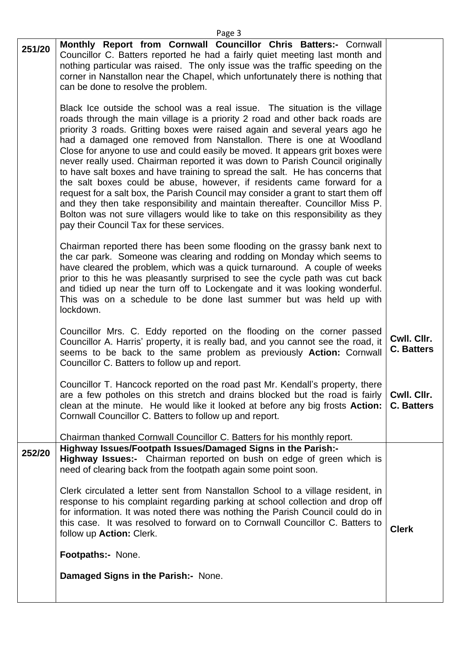| 251/20 | Monthly Report from Cornwall Councillor Chris Batters:- Cornwall<br>Councillor C. Batters reported he had a fairly quiet meeting last month and<br>nothing particular was raised. The only issue was the traffic speeding on the<br>corner in Nanstallon near the Chapel, which unfortunately there is nothing that<br>can be done to resolve the problem.<br>Black Ice outside the school was a real issue. The situation is the village<br>roads through the main village is a priority 2 road and other back roads are<br>priority 3 roads. Gritting boxes were raised again and several years ago he<br>had a damaged one removed from Nanstallon. There is one at Woodland<br>Close for anyone to use and could easily be moved. It appears grit boxes were<br>never really used. Chairman reported it was down to Parish Council originally<br>to have salt boxes and have training to spread the salt. He has concerns that<br>the salt boxes could be abuse, however, if residents came forward for a<br>request for a salt box, the Parish Council may consider a grant to start them off<br>and they then take responsibility and maintain thereafter. Councillor Miss P.<br>Bolton was not sure villagers would like to take on this responsibility as they<br>pay their Council Tax for these services. |                                  |
|--------|---------------------------------------------------------------------------------------------------------------------------------------------------------------------------------------------------------------------------------------------------------------------------------------------------------------------------------------------------------------------------------------------------------------------------------------------------------------------------------------------------------------------------------------------------------------------------------------------------------------------------------------------------------------------------------------------------------------------------------------------------------------------------------------------------------------------------------------------------------------------------------------------------------------------------------------------------------------------------------------------------------------------------------------------------------------------------------------------------------------------------------------------------------------------------------------------------------------------------------------------------------------------------------------------------------------------|----------------------------------|
|        | Chairman reported there has been some flooding on the grassy bank next to<br>the car park. Someone was clearing and rodding on Monday which seems to<br>have cleared the problem, which was a quick turnaround. A couple of weeks<br>prior to this he was pleasantly surprised to see the cycle path was cut back<br>and tidied up near the turn off to Lockengate and it was looking wonderful.<br>This was on a schedule to be done last summer but was held up with<br>lockdown.                                                                                                                                                                                                                                                                                                                                                                                                                                                                                                                                                                                                                                                                                                                                                                                                                                 |                                  |
|        | Councillor Mrs. C. Eddy reported on the flooding on the corner passed<br>Councillor A. Harris' property, it is really bad, and you cannot see the road, it<br>seems to be back to the same problem as previously Action: Cornwall<br>Councillor C. Batters to follow up and report.                                                                                                                                                                                                                                                                                                                                                                                                                                                                                                                                                                                                                                                                                                                                                                                                                                                                                                                                                                                                                                 | Cwll. Cllr.<br><b>C. Batters</b> |
|        | Councillor T. Hancock reported on the road past Mr. Kendall's property, there<br>are a few potholes on this stretch and drains blocked but the road is fairly<br>clean at the minute. He would like it looked at before any big frosts Action:<br>Cornwall Councillor C. Batters to follow up and report.<br>Chairman thanked Cornwall Councillor C. Batters for his monthly report.                                                                                                                                                                                                                                                                                                                                                                                                                                                                                                                                                                                                                                                                                                                                                                                                                                                                                                                                | Cwll. Cllr.<br><b>C. Batters</b> |
| 252/20 | Highway Issues/Footpath Issues/Damaged Signs in the Parish:-<br>Highway Issues:- Chairman reported on bush on edge of green which is<br>need of clearing back from the footpath again some point soon.                                                                                                                                                                                                                                                                                                                                                                                                                                                                                                                                                                                                                                                                                                                                                                                                                                                                                                                                                                                                                                                                                                              |                                  |
|        | Clerk circulated a letter sent from Nanstallon School to a village resident, in<br>response to his complaint regarding parking at school collection and drop off<br>for information. It was noted there was nothing the Parish Council could do in<br>this case. It was resolved to forward on to Cornwall Councillor C. Batters to<br>follow up Action: Clerk.                                                                                                                                                                                                                                                                                                                                                                                                                                                                                                                                                                                                                                                                                                                                                                                                                                                                                                                                                     | <b>Clerk</b>                     |
|        | Footpaths:- None.                                                                                                                                                                                                                                                                                                                                                                                                                                                                                                                                                                                                                                                                                                                                                                                                                                                                                                                                                                                                                                                                                                                                                                                                                                                                                                   |                                  |
|        | Damaged Signs in the Parish: None.                                                                                                                                                                                                                                                                                                                                                                                                                                                                                                                                                                                                                                                                                                                                                                                                                                                                                                                                                                                                                                                                                                                                                                                                                                                                                  |                                  |
|        |                                                                                                                                                                                                                                                                                                                                                                                                                                                                                                                                                                                                                                                                                                                                                                                                                                                                                                                                                                                                                                                                                                                                                                                                                                                                                                                     |                                  |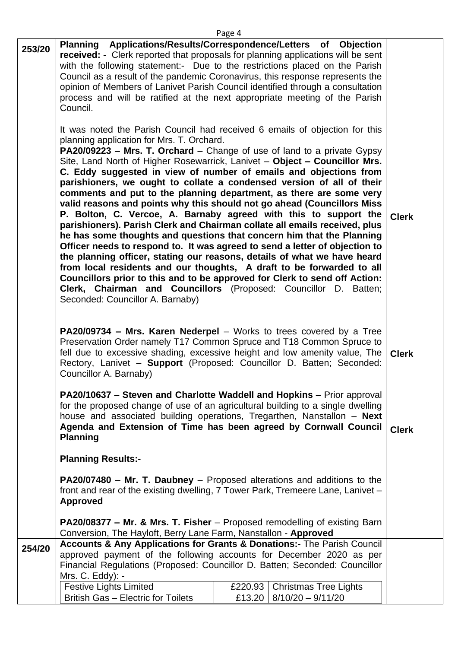| ۰ |  |
|---|--|
|---|--|

| 253/20 | Planning Applications/Results/Correspondence/Letters of Objection<br><b>received:</b> - Clerk reported that proposals for planning applications will be sent<br>with the following statement:- Due to the restrictions placed on the Parish<br>Council as a result of the pandemic Coronavirus, this response represents the<br>opinion of Members of Lanivet Parish Council identified through a consultation<br>process and will be ratified at the next appropriate meeting of the Parish<br>Council.<br>It was noted the Parish Council had received 6 emails of objection for this<br>planning application for Mrs. T. Orchard.<br><b>PA20/09223 – Mrs. T. Orchard</b> – Change of use of land to a private Gypsy<br>Site, Land North of Higher Rosewarrick, Lanivet - Object - Councillor Mrs.<br>C. Eddy suggested in view of number of emails and objections from<br>parishioners, we ought to collate a condensed version of all of their<br>comments and put to the planning department, as there are some very<br>valid reasons and points why this should not go ahead (Councillors Miss)<br>P. Bolton, C. Vercoe, A. Barnaby agreed with this to support the<br>parishioners). Parish Clerk and Chairman collate all emails received, plus<br>he has some thoughts and questions that concern him that the Planning<br>Officer needs to respond to. It was agreed to send a letter of objection to<br>the planning officer, stating our reasons, details of what we have heard<br>from local residents and our thoughts, A draft to be forwarded to all<br>Councillors prior to this and to be approved for Clerk to send off Action:<br>Clerk, Chairman and Councillors (Proposed: Councillor D. Batten;<br>Seconded: Councillor A. Barnaby)<br><b>PA20/09734 - Mrs. Karen Nederpel</b> - Works to trees covered by a Tree<br>Preservation Order namely T17 Common Spruce and T18 Common Spruce to<br>fell due to excessive shading, excessive height and low amenity value, The<br>Rectory, Lanivet - Support (Proposed: Councillor D. Batten; Seconded:<br>Councillor A. Barnaby)<br>PA20/10637 – Steven and Charlotte Waddell and Hopkins – Prior approval<br>for the proposed change of use of an agricultural building to a single dwelling<br>house and associated building operations, Tregarthen, Nanstallon - Next<br>Agenda and Extension of Time has been agreed by Cornwall Council<br><b>Planning</b><br><b>Planning Results:-</b> | <b>Clerk</b><br><b>Clerk</b><br><b>Clerk</b> |  |
|--------|---------------------------------------------------------------------------------------------------------------------------------------------------------------------------------------------------------------------------------------------------------------------------------------------------------------------------------------------------------------------------------------------------------------------------------------------------------------------------------------------------------------------------------------------------------------------------------------------------------------------------------------------------------------------------------------------------------------------------------------------------------------------------------------------------------------------------------------------------------------------------------------------------------------------------------------------------------------------------------------------------------------------------------------------------------------------------------------------------------------------------------------------------------------------------------------------------------------------------------------------------------------------------------------------------------------------------------------------------------------------------------------------------------------------------------------------------------------------------------------------------------------------------------------------------------------------------------------------------------------------------------------------------------------------------------------------------------------------------------------------------------------------------------------------------------------------------------------------------------------------------------------------------------------------------------------------------------------------------------------------------------------------------------------------------------------------------------------------------------------------------------------------------------------------------------------------------------------------------------------------------------------------------------------------------------------------------------------------------------------------------------------------------------------------------------------------------------------|----------------------------------------------|--|
|        |                                                                                                                                                                                                                                                                                                                                                                                                                                                                                                                                                                                                                                                                                                                                                                                                                                                                                                                                                                                                                                                                                                                                                                                                                                                                                                                                                                                                                                                                                                                                                                                                                                                                                                                                                                                                                                                                                                                                                                                                                                                                                                                                                                                                                                                                                                                                                                                                                                                               |                                              |  |
|        | <b>PA20/07480 - Mr. T. Daubney</b> - Proposed alterations and additions to the<br>front and rear of the existing dwelling, 7 Tower Park, Tremeere Lane, Lanivet -<br><b>Approved</b>                                                                                                                                                                                                                                                                                                                                                                                                                                                                                                                                                                                                                                                                                                                                                                                                                                                                                                                                                                                                                                                                                                                                                                                                                                                                                                                                                                                                                                                                                                                                                                                                                                                                                                                                                                                                                                                                                                                                                                                                                                                                                                                                                                                                                                                                          |                                              |  |
|        | <b>PA20/08377 – Mr. &amp; Mrs. T. Fisher</b> – Proposed remodelling of existing Barn<br>Conversion, The Hayloft, Berry Lane Farm, Nanstallon - Approved                                                                                                                                                                                                                                                                                                                                                                                                                                                                                                                                                                                                                                                                                                                                                                                                                                                                                                                                                                                                                                                                                                                                                                                                                                                                                                                                                                                                                                                                                                                                                                                                                                                                                                                                                                                                                                                                                                                                                                                                                                                                                                                                                                                                                                                                                                       |                                              |  |
| 254/20 | Accounts & Any Applications for Grants & Donations:- The Parish Council                                                                                                                                                                                                                                                                                                                                                                                                                                                                                                                                                                                                                                                                                                                                                                                                                                                                                                                                                                                                                                                                                                                                                                                                                                                                                                                                                                                                                                                                                                                                                                                                                                                                                                                                                                                                                                                                                                                                                                                                                                                                                                                                                                                                                                                                                                                                                                                       |                                              |  |
|        | approved payment of the following accounts for December 2020 as per                                                                                                                                                                                                                                                                                                                                                                                                                                                                                                                                                                                                                                                                                                                                                                                                                                                                                                                                                                                                                                                                                                                                                                                                                                                                                                                                                                                                                                                                                                                                                                                                                                                                                                                                                                                                                                                                                                                                                                                                                                                                                                                                                                                                                                                                                                                                                                                           |                                              |  |
|        | Financial Regulations (Proposed: Councillor D. Batten; Seconded: Councillor                                                                                                                                                                                                                                                                                                                                                                                                                                                                                                                                                                                                                                                                                                                                                                                                                                                                                                                                                                                                                                                                                                                                                                                                                                                                                                                                                                                                                                                                                                                                                                                                                                                                                                                                                                                                                                                                                                                                                                                                                                                                                                                                                                                                                                                                                                                                                                                   |                                              |  |
|        | Mrs. C. Eddy): -                                                                                                                                                                                                                                                                                                                                                                                                                                                                                                                                                                                                                                                                                                                                                                                                                                                                                                                                                                                                                                                                                                                                                                                                                                                                                                                                                                                                                                                                                                                                                                                                                                                                                                                                                                                                                                                                                                                                                                                                                                                                                                                                                                                                                                                                                                                                                                                                                                              |                                              |  |
|        | <b>Festive Lights Limited</b><br><b>Christmas Tree Lights</b><br>£220.93                                                                                                                                                                                                                                                                                                                                                                                                                                                                                                                                                                                                                                                                                                                                                                                                                                                                                                                                                                                                                                                                                                                                                                                                                                                                                                                                                                                                                                                                                                                                                                                                                                                                                                                                                                                                                                                                                                                                                                                                                                                                                                                                                                                                                                                                                                                                                                                      |                                              |  |
|        | British Gas - Electric for Toilets<br>$8/10/20 - 9/11/20$<br>£13.20                                                                                                                                                                                                                                                                                                                                                                                                                                                                                                                                                                                                                                                                                                                                                                                                                                                                                                                                                                                                                                                                                                                                                                                                                                                                                                                                                                                                                                                                                                                                                                                                                                                                                                                                                                                                                                                                                                                                                                                                                                                                                                                                                                                                                                                                                                                                                                                           |                                              |  |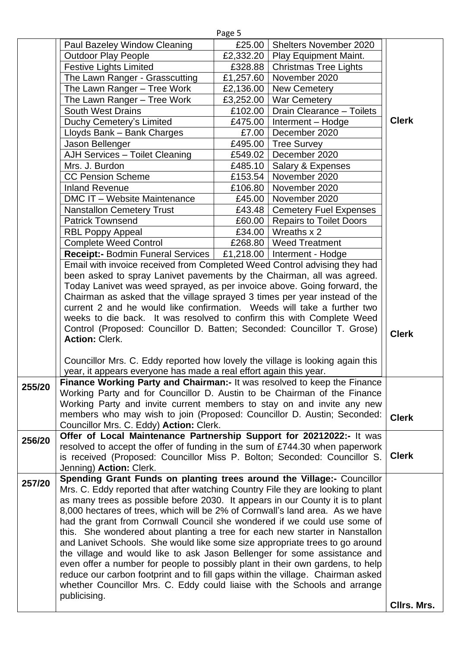|        |                                                                                                                                                                   | Page 5             |                                   |              |
|--------|-------------------------------------------------------------------------------------------------------------------------------------------------------------------|--------------------|-----------------------------------|--------------|
|        | Paul Bazeley Window Cleaning                                                                                                                                      | £25.00             | <b>Shelters November 2020</b>     |              |
|        | <b>Outdoor Play People</b>                                                                                                                                        |                    | £2,332.20   Play Equipment Maint. |              |
|        | <b>Festive Lights Limited</b>                                                                                                                                     | £328.88            | <b>Christmas Tree Lights</b>      |              |
|        | The Lawn Ranger - Grasscutting                                                                                                                                    | £1,257.60          | November 2020                     |              |
|        | The Lawn Ranger - Tree Work                                                                                                                                       | £2,136.00          | <b>New Cemetery</b>               |              |
|        | The Lawn Ranger - Tree Work                                                                                                                                       | £3,252.00          | <b>War Cemetery</b>               |              |
|        | <b>South West Drains</b>                                                                                                                                          | £102.00            | Drain Clearance - Toilets         |              |
|        | Duchy Cemetery's Limited                                                                                                                                          | £475.00            | Interment - Hodge                 | <b>Clerk</b> |
|        | Lloyds Bank - Bank Charges                                                                                                                                        | £7.00              | December 2020                     |              |
|        | Jason Bellenger                                                                                                                                                   | £495.00            | <b>Tree Survey</b>                |              |
|        | <b>AJH Services - Toilet Cleaning</b>                                                                                                                             | £549.02            | December 2020                     |              |
|        | Mrs. J. Burdon                                                                                                                                                    | £485.10            | Salary & Expenses                 |              |
|        | <b>CC Pension Scheme</b>                                                                                                                                          | £153.54            | November 2020                     |              |
|        | <b>Inland Revenue</b>                                                                                                                                             | £106.80            | November 2020                     |              |
|        | DMC IT - Website Maintenance                                                                                                                                      | £45.00 $\parallel$ | November 2020                     |              |
|        | <b>Nanstallon Cemetery Trust</b>                                                                                                                                  |                    | £43.48   Cemetery Fuel Expenses   |              |
|        | <b>Patrick Townsend</b>                                                                                                                                           | £60.00             | <b>Repairs to Toilet Doors</b>    |              |
|        | <b>RBL Poppy Appeal</b>                                                                                                                                           | £34.00 $\vert$     | Wreaths x 2                       |              |
|        | <b>Complete Weed Control</b>                                                                                                                                      |                    | £268.80   Weed Treatment          |              |
|        | Receipt:- Bodmin Funeral Services   £1,218.00   Interment - Hodge                                                                                                 |                    |                                   |              |
|        | Email with invoice received from Completed Weed Control advising they had                                                                                         |                    |                                   |              |
|        | been asked to spray Lanivet pavements by the Chairman, all was agreed.                                                                                            |                    |                                   |              |
|        | Today Lanivet was weed sprayed, as per invoice above. Going forward, the                                                                                          |                    |                                   |              |
|        | Chairman as asked that the village sprayed 3 times per year instead of the<br>current 2 and he would like confirmation. Weeds will take a further two             |                    |                                   |              |
|        | weeks to die back. It was resolved to confirm this with Complete Weed                                                                                             |                    |                                   |              |
|        | Control (Proposed: Councillor D. Batten; Seconded: Councillor T. Grose)                                                                                           |                    |                                   |              |
|        | <b>Action: Clerk.</b>                                                                                                                                             |                    |                                   | <b>Clerk</b> |
|        |                                                                                                                                                                   |                    |                                   |              |
|        | Councillor Mrs. C. Eddy reported how lovely the village is looking again this                                                                                     |                    |                                   |              |
|        | year, it appears everyone has made a real effort again this year.                                                                                                 |                    |                                   |              |
|        | Finance Working Party and Chairman: It was resolved to keep the Finance                                                                                           |                    |                                   |              |
| 255/20 | Working Party and for Councillor D. Austin to be Chairman of the Finance                                                                                          |                    |                                   |              |
|        | Working Party and invite current members to stay on and invite any new                                                                                            |                    |                                   |              |
|        | members who may wish to join (Proposed: Councillor D. Austin; Seconded:                                                                                           |                    |                                   | <b>Clerk</b> |
|        | Councillor Mrs. C. Eddy) Action: Clerk.                                                                                                                           |                    |                                   |              |
| 256/20 | Offer of Local Maintenance Partnership Support for 20212022:- It was                                                                                              |                    |                                   |              |
|        | resolved to accept the offer of funding in the sum of £744.30 when paperwork                                                                                      |                    |                                   |              |
|        | is received (Proposed: Councillor Miss P. Bolton; Seconded: Councillor S.                                                                                         |                    |                                   | <b>Clerk</b> |
|        | Jenning) Action: Clerk.                                                                                                                                           |                    |                                   |              |
| 257/20 | Spending Grant Funds on planting trees around the Village:- Councillor                                                                                            |                    |                                   |              |
|        | Mrs. C. Eddy reported that after watching Country File they are looking to plant                                                                                  |                    |                                   |              |
|        | as many trees as possible before 2030. It appears in our County it is to plant                                                                                    |                    |                                   |              |
|        | 8,000 hectares of trees, which will be 2% of Cornwall's land area. As we have                                                                                     |                    |                                   |              |
|        | had the grant from Cornwall Council she wondered if we could use some of                                                                                          |                    |                                   |              |
|        | this. She wondered about planting a tree for each new starter in Nanstallon                                                                                       |                    |                                   |              |
|        | and Lanivet Schools. She would like some size appropriate trees to go around                                                                                      |                    |                                   |              |
|        | the village and would like to ask Jason Bellenger for some assistance and                                                                                         |                    |                                   |              |
|        | even offer a number for people to possibly plant in their own gardens, to help<br>reduce our carbon footprint and to fill gaps within the village. Chairman asked |                    |                                   |              |
|        | whether Councillor Mrs. C. Eddy could liaise with the Schools and arrange                                                                                         |                    |                                   |              |
|        | publicising.                                                                                                                                                      |                    |                                   |              |
|        |                                                                                                                                                                   |                    |                                   | CIIrs. Mrs.  |
|        |                                                                                                                                                                   |                    |                                   |              |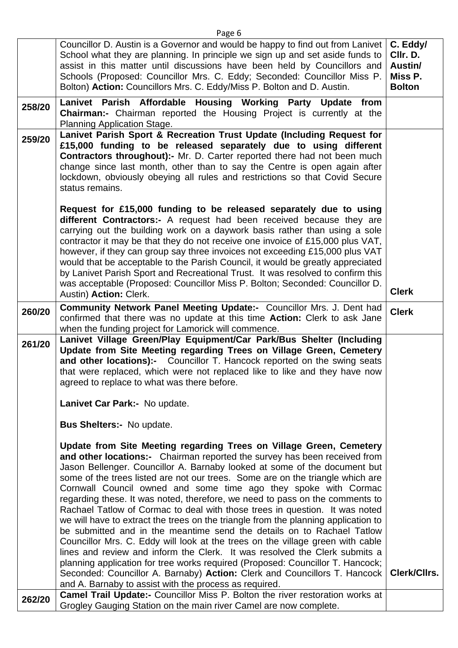|        | Councillor D. Austin is a Governor and would be happy to find out from Lanivet<br>School what they are planning. In principle we sign up and set aside funds to<br>assist in this matter until discussions have been held by Councillors and<br>Schools (Proposed: Councillor Mrs. C. Eddy; Seconded: Councillor Miss P.<br>Bolton) Action: Councillors Mrs. C. Eddy/Miss P. Bolton and D. Austin.                                                                                                                                                                                                                                                                                                                                                                                                                                                                                                                                                                  | C. Eddy/<br>CIIr. D.<br>Austin/<br>Miss P.<br><b>Bolton</b> |  |
|--------|---------------------------------------------------------------------------------------------------------------------------------------------------------------------------------------------------------------------------------------------------------------------------------------------------------------------------------------------------------------------------------------------------------------------------------------------------------------------------------------------------------------------------------------------------------------------------------------------------------------------------------------------------------------------------------------------------------------------------------------------------------------------------------------------------------------------------------------------------------------------------------------------------------------------------------------------------------------------|-------------------------------------------------------------|--|
| 258/20 | Lanivet Parish Affordable Housing Working Party Update<br>from<br><b>Chairman:-</b> Chairman reported the Housing Project is currently at the<br>Planning Application Stage.                                                                                                                                                                                                                                                                                                                                                                                                                                                                                                                                                                                                                                                                                                                                                                                        |                                                             |  |
| 259/20 | Lanivet Parish Sport & Recreation Trust Update (Including Request for<br>£15,000 funding to be released separately due to using different<br><b>Contractors throughout):-</b> Mr. D. Carter reported there had not been much<br>change since last month, other than to say the Centre is open again after<br>lockdown, obviously obeying all rules and restrictions so that Covid Secure<br>status remains.                                                                                                                                                                                                                                                                                                                                                                                                                                                                                                                                                         |                                                             |  |
|        | Request for £15,000 funding to be released separately due to using<br>different Contractors:- A request had been received because they are<br>carrying out the building work on a daywork basis rather than using a sole<br>contractor it may be that they do not receive one invoice of £15,000 plus VAT,<br>however, if they can group say three invoices not exceeding £15,000 plus VAT<br>would that be acceptable to the Parish Council, it would be greatly appreciated<br>by Lanivet Parish Sport and Recreational Trust. It was resolved to confirm this<br>was acceptable (Proposed: Councillor Miss P. Bolton; Seconded: Councillor D.<br>Austin) Action: Clerk.                                                                                                                                                                                                                                                                                          | <b>Clerk</b>                                                |  |
| 260/20 | <b>Community Network Panel Meeting Update:-</b> Councillor Mrs. J. Dent had<br>confirmed that there was no update at this time <b>Action:</b> Clerk to ask Jane<br>when the funding project for Lamorick will commence.                                                                                                                                                                                                                                                                                                                                                                                                                                                                                                                                                                                                                                                                                                                                             | <b>Clerk</b>                                                |  |
| 261/20 | Lanivet Village Green/Play Equipment/Car Park/Bus Shelter (Including<br>Update from Site Meeting regarding Trees on Village Green, Cemetery<br>and other locations):- Councillor T. Hancock reported on the swing seats<br>that were replaced, which were not replaced like to like and they have now<br>agreed to replace to what was there before.                                                                                                                                                                                                                                                                                                                                                                                                                                                                                                                                                                                                                |                                                             |  |
|        | Lanivet Car Park:- No update.                                                                                                                                                                                                                                                                                                                                                                                                                                                                                                                                                                                                                                                                                                                                                                                                                                                                                                                                       |                                                             |  |
|        | <b>Bus Shelters:- No update.</b>                                                                                                                                                                                                                                                                                                                                                                                                                                                                                                                                                                                                                                                                                                                                                                                                                                                                                                                                    |                                                             |  |
|        | Update from Site Meeting regarding Trees on Village Green, Cemetery<br>and other locations:- Chairman reported the survey has been received from<br>Jason Bellenger. Councillor A. Barnaby looked at some of the document but<br>some of the trees listed are not our trees. Some are on the triangle which are<br>Cornwall Council owned and some time ago they spoke with Cormac<br>regarding these. It was noted, therefore, we need to pass on the comments to<br>Rachael Tatlow of Cormac to deal with those trees in question. It was noted<br>we will have to extract the trees on the triangle from the planning application to<br>be submitted and in the meantime send the details on to Rachael Tatlow<br>Councillor Mrs. C. Eddy will look at the trees on the village green with cable<br>lines and review and inform the Clerk. It was resolved the Clerk submits a<br>planning application for tree works required (Proposed: Councillor T. Hancock; | Clerk/Cllrs.                                                |  |
|        | Seconded: Councillor A. Barnaby) Action: Clerk and Councillors T. Hancock<br>and A. Barnaby to assist with the process as required.<br>Camel Trail Update:- Councillor Miss P. Bolton the river restoration works at                                                                                                                                                                                                                                                                                                                                                                                                                                                                                                                                                                                                                                                                                                                                                |                                                             |  |
| 262/20 | Grogley Gauging Station on the main river Camel are now complete.                                                                                                                                                                                                                                                                                                                                                                                                                                                                                                                                                                                                                                                                                                                                                                                                                                                                                                   |                                                             |  |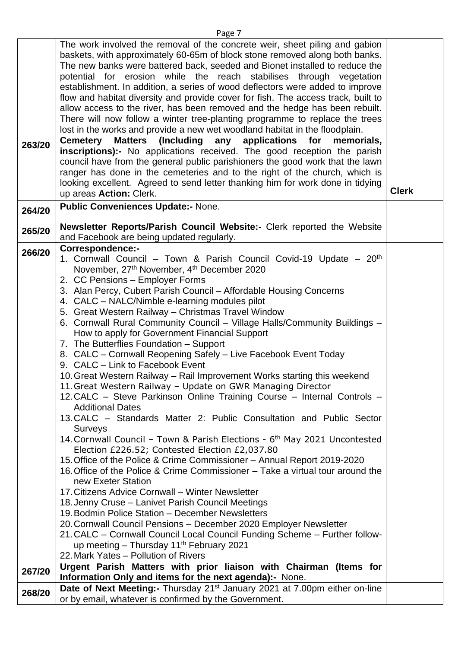|        | The work involved the removal of the concrete weir, sheet piling and gabion                                                                               |              |  |
|--------|-----------------------------------------------------------------------------------------------------------------------------------------------------------|--------------|--|
|        | baskets, with approximately 60-65m of block stone removed along both banks.                                                                               |              |  |
|        | The new banks were battered back, seeded and Bionet installed to reduce the<br>potential for erosion while the reach stabilises through vegetation        |              |  |
|        | establishment. In addition, a series of wood deflectors were added to improve                                                                             |              |  |
|        | flow and habitat diversity and provide cover for fish. The access track, built to                                                                         |              |  |
|        | allow access to the river, has been removed and the hedge has been rebuilt.                                                                               |              |  |
|        | There will now follow a winter tree-planting programme to replace the trees                                                                               |              |  |
|        | lost in the works and provide a new wet woodland habitat in the floodplain.                                                                               |              |  |
| 263/20 | (Including any<br><b>Cemetery</b><br><b>Matters</b><br>applications<br>for<br>memorials,                                                                  |              |  |
|        | inscriptions):- No applications received. The good reception the parish                                                                                   |              |  |
|        | council have from the general public parishioners the good work that the lawn                                                                             |              |  |
|        | ranger has done in the cemeteries and to the right of the church, which is                                                                                |              |  |
|        | looking excellent. Agreed to send letter thanking him for work done in tidying<br>up areas Action: Clerk.                                                 | <b>Clerk</b> |  |
|        | <b>Public Conveniences Update:- None.</b>                                                                                                                 |              |  |
| 264/20 |                                                                                                                                                           |              |  |
| 265/20 | Newsletter Reports/Parish Council Website:- Clerk reported the Website                                                                                    |              |  |
|        | and Facebook are being updated regularly.<br><b>Correspondence:-</b>                                                                                      |              |  |
| 266/20 | 1. Cornwall Council - Town & Parish Council Covid-19 Update - 20 <sup>th</sup>                                                                            |              |  |
|        | November, 27 <sup>th</sup> November, 4 <sup>th</sup> December 2020                                                                                        |              |  |
|        | 2. CC Pensions - Employer Forms                                                                                                                           |              |  |
|        | 3. Alan Percy, Cubert Parish Council - Affordable Housing Concerns                                                                                        |              |  |
|        | 4. CALC – NALC/Nimble e-learning modules pilot                                                                                                            |              |  |
|        | 5. Great Western Railway - Christmas Travel Window                                                                                                        |              |  |
|        | 6. Cornwall Rural Community Council - Village Halls/Community Buildings -                                                                                 |              |  |
|        | How to apply for Government Financial Support                                                                                                             |              |  |
|        | 7. The Butterflies Foundation - Support                                                                                                                   |              |  |
|        | 8. CALC - Cornwall Reopening Safely - Live Facebook Event Today                                                                                           |              |  |
|        | 9. CALC - Link to Facebook Event                                                                                                                          |              |  |
|        | 10. Great Western Railway – Rail Improvement Works starting this weekend<br>11. Great Western Railway - Update on GWR Managing Director                   |              |  |
|        | 12. CALC – Steve Parkinson Online Training Course – Internal Controls –                                                                                   |              |  |
|        | <b>Additional Dates</b>                                                                                                                                   |              |  |
|        | 13. CALC – Standards Matter 2: Public Consultation and Public Sector                                                                                      |              |  |
|        | <b>Surveys</b>                                                                                                                                            |              |  |
|        | 14. Cornwall Council - Town & Parish Elections - 6 <sup>th</sup> May 2021 Uncontested                                                                     |              |  |
|        | Election £226.52; Contested Election £2,037.80                                                                                                            |              |  |
|        | 15. Office of the Police & Crime Commissioner – Annual Report 2019-2020<br>16. Office of the Police & Crime Commissioner – Take a virtual tour around the |              |  |
|        | new Exeter Station                                                                                                                                        |              |  |
|        | 17. Citizens Advice Cornwall - Winter Newsletter                                                                                                          |              |  |
|        | 18. Jenny Cruse - Lanivet Parish Council Meetings                                                                                                         |              |  |
|        | 19. Bodmin Police Station - December Newsletters                                                                                                          |              |  |
|        | 20. Cornwall Council Pensions - December 2020 Employer Newsletter                                                                                         |              |  |
|        | 21. CALC - Cornwall Council Local Council Funding Scheme - Further follow-                                                                                |              |  |
|        | up meeting $-$ Thursday 11 <sup>th</sup> February 2021                                                                                                    |              |  |
|        | 22. Mark Yates - Pollution of Rivers<br>Urgent Parish Matters with prior liaison with Chairman (Items for                                                 |              |  |
| 267/20 | Information Only and items for the next agenda):- None.                                                                                                   |              |  |
|        | Date of Next Meeting:- Thursday 21 <sup>st</sup> January 2021 at 7.00pm either on-line                                                                    |              |  |
| 268/20 | or by email, whatever is confirmed by the Government.                                                                                                     |              |  |